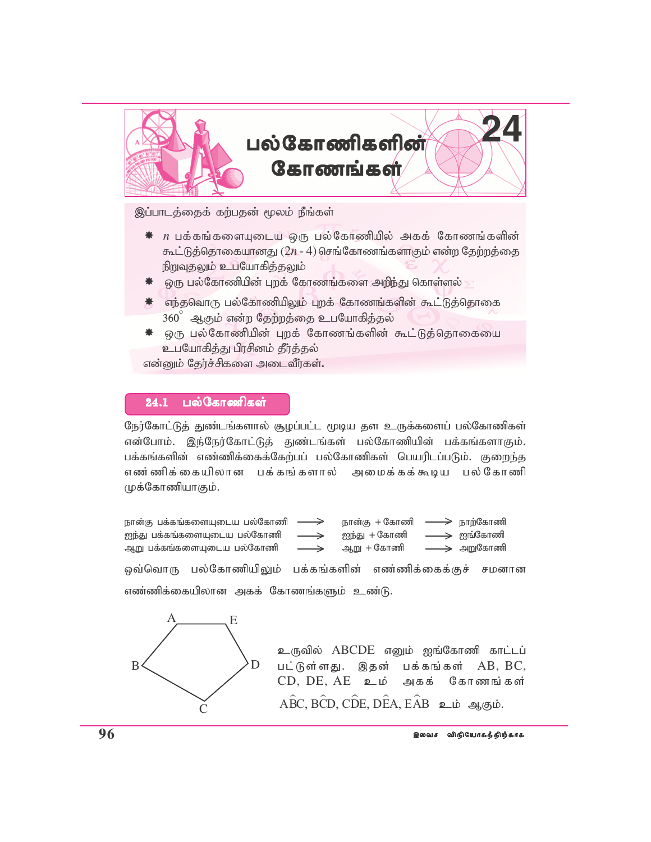

இப்பாடத்தைக் கற்பதன் மூலம் நீங்கள்

- *n* gf;fq;fisAila xU gy;Nfhzpapy; mff; Nfhzq;fspd; கூட்டுத்தொகையானது  $(2n - 4)$  செங்கோணங்களாகும் என்ற தேற்றத்தை நிறுவுகலும் உபயோகிக்கலும்
- $\,$ ் ஒரு பல்கோணியின் புறக் கோணங்களை அறிந்து கொள்ளல்
- $*$  எந்தவொரு பல்கோணியிலும் புறக் கோணங்களின் கூட்டுத்தொகை  $360^\circ$  அகும் என்ற தேற்றத்தை உபயோகித்தல்
- $*$  ஒரு பல்கோணியின் புறக் கோணங்களின் கூட்டுத்தொகையை உபயோகித்து பிரசினம் தீர்த்தல்

என்னும் தேர்ச்சிகளை அடைவீர்கள்.

#### 24.1 பல்கோணிகள்

நேர்கோட்டுத் துண்டங்களால் சூழப்பட்ட மூடிய தள உருக்களைப் பல்கோணிகள் என்போம். இந்நேர்கோட்டுத் துண்டங்கள் பல்கோணியின் பக்கங்களாகும். பக்கங்களின் எண்ணிக்கைக்கேற்பப் பல்கோணிகள் பெயரிடப்படும். குறைந்த எண ்ணிக்கையிலான பக்கங்களால் அமைக்கக்கூடிய பல்கோணி முக்கோணியாகும்.

நான்கு பக்கங்களையுடைய பல்கோணி  $\longrightarrow$  நான்கு + கோணி  $\rightarrow$ Ie;J gf;fq;fisAila gy;Nfhzp Ie;J + Nfhzp Iq;Nfhzp ஆறு பக்கங்களையுடைய பல்கோணி $\quad \longrightarrow \quad$  ஆறு + கோணி லவ்வொரு பல்கோணியிலும் பக்கங்களின் எண்ணிக்கைக்குச் சமனான எண்ணிக்கையிலான அகக் கோணங்களும் உண்டு.  $\rightarrow$  $\rightarrow$ >  $\implies$  நாற்கோணி  $\;\;\Rightarrow\;$  அறுகோணி  $\longrightarrow$  ஐங்கோணி



உருவில் ABCDE எனும் ஐங்கோணி காட்டப் பட்டுள்ளது. இதன் பக்கங்கள்  $AB$ ,  $BC$ ,  $CD$ ,  $DE$ ,  $AE$  உம் அகக் கோணங்கள்  $A\hat{B}C$ ,  $B\hat{C}D$ ,  $C\hat{D}E$ ,  $D\hat{E}A$ ,  $E\hat{A}B$  **2**  $i\phi$  **3** $i\phi$ ,  $\phi$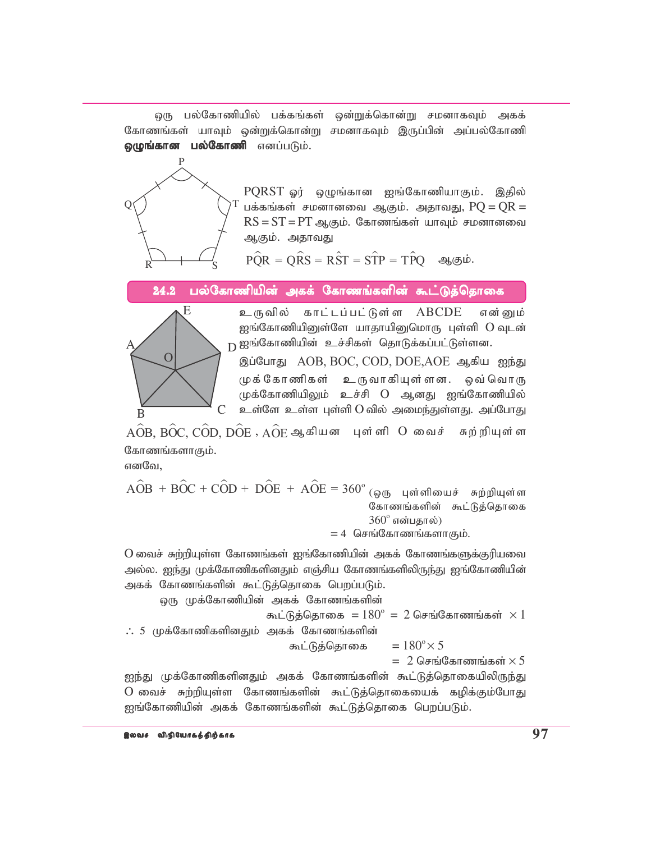ஒரு பல்கோணியில் பக்கங்கள் ஒன்றுக்கொன்று சமனாகவும் அகக் கோணங்கள் யாவும் ஒன்றுக்கொன்று சமனாகவும் இருப்பின் அப்பல்கோணி ஒழுங்கான பல்கோணி எனப்படும்.



PQRST ஓர் ஒழுங்கான ஐங்கோணியாகும். இதில் பக்கங்கள் சமனானவை ஆகும். அதாவது,  $PO = OR =$  $RS = ST = PT$  ஆகும். கோணங்கள் யாவும் சமனானவை ஆகும். அதாவது

 $\angle P\hat{O}R = \angle ORS = \angle RST = \angle STP = \angle TPO$  ஆகும்.

பல்கோணியின் அகக் கோணங்களின் கூட்டுத்தொகை 24.2



உருவில் காட்டப்பட்டுள்ள ABCDE என் பைம் ஐங்கோணியினுள்ளே யாதாயினுமொரு புள்ளி O வுடன் **்** ஐங்கோணியின் உச்சிகள் தொடுக்கப்பட்டுள்ளன.

இப்போது AOB, BOC, COD, DOE, AOE ஆகிய ஐந்து முக்கோணிகள் உருவாகியுள்ளன. ஒவ் வொரு முக்கோணியிலும் உச்சி O ஆனது ஐங்கோணியில் உள்ளே உள்ள புள்ளி O வில் அமைந்துள்ளது. அப்போது

 $\widehat{AOB},\widehat{BOC},\widehat{COD},\widehat{DOE}\;,\widehat{AOE}$  ஆகியன புள்ளி  $O$  வைச் சுற்றியுள்ள கோணங்களாகும்.

எனவே.

 $\angle AOB + BOC + COD + DOE + AOE = 360^{\circ}$  (ஒரு புள்ளியைச் சுற்றியுள்ள கோணங்களின் கூட்டுத்தொகை  $360^\circ$  என்பதால்)  $= 4$  செங்கோணங்களாகும்.

O வைச் சுற்றியுள்ள கோணங்கள் ஐங்கோணியின் அகக் கோணங்களுக்குரியவை அல்ல. ஐந்து முக்கோணிகளினதும் எஞ்சிய கோணங்களிலிருந்து ஐங்கோணியின் அகக் கோணங்களின் கூட்டுத்தொகை பெறப்படும்.

ஒரு முக்கோணியின் அகக் கோணங்களின்

O வைச் சுற்றியுள்ள கோணங்களின் கூட்டுத்தொகையைக் கழிக்கும்போது ஐங்கோணியின் அகக் கோணங்களின் கூட்டுத்தொகை பெறப்படும்.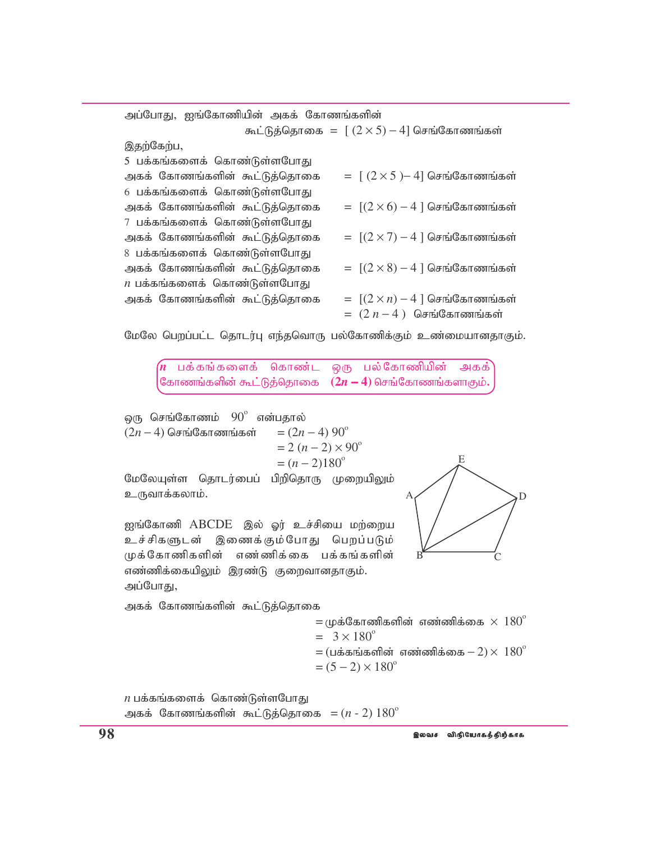| அப்போது, ஐங்கோணியின் அகக் கோணங்களின் |                                                  |
|--------------------------------------|--------------------------------------------------|
|                                      | கூட்டுத்தொகை = $[(2 \times 5) - 4]$ செங்கோணங்கள் |
| இதற்கேற்ப,                           |                                                  |
| 5 பக்கங்களைக் கொண்டுள்ளபோது          |                                                  |
| அகக் கோணங்களின் கூட்டுத்தொகை         | $=$ $[(2 \times 5) - 4]$ செங்கோணங்கள்            |
| 6 பக்கங்களைக் கொண்டுள்ளபோது          |                                                  |
| அகக் கோணங்களின் கூட்டுத்தொகை         | $= [(2 \times 6) - 4]$ செங்கோணங்கள்              |
| 7 பக்கங்களைக் கொண்டுள்ளபோது          |                                                  |
| அகக் கோணங்களின் கூட்டுத்தொகை         | $= [(2 \times 7) - 4]$ செங்கோணங்கள்              |
| 8 பக்கங்களைக் கொண்டுள்ளபோது          |                                                  |
| அகக் கோணங்களின் கூட்டுத்தொகை         | $= [(2 \times 8) - 4]$ செங்கோணங்கள்              |
| $n$ பக்கங்களைக் கொண்டுள்ளபோது        |                                                  |
| அகக் கோணங்களின் கூட்டுத்தொகை         | $=$ $[(2 \times n) - 4]$ செங்கோணங்கள்            |
|                                      | $= (2n-4)$ செங்கோணங்கள்                          |

மேலே பெறப்பட்ட தொடர்பு எந்தவொரு பல்கோணிக்கும் உண்மையானதாகும்.

 $\left(n$  பக்கங்களைக் கொண்ட ஒரு பல்கோணியின் அகக் கோணங்களின் கூட்டுத்தொகை ( $2n-4$ ) செங்கோணங்களாகும்**.** 

டை செங்கோணம்  $90^\circ$  என்பதால்  $(2n-4)$  செங்கோணங்கள் =  $(2n-4)$  90<sup>°</sup>  $= 2 (n - 2) \times 90^{\circ}$  $=(n-2)180^{\circ}$ மேலேயுள்ள தொடர்பைப் பிறிதொரு முறையிலும் உருவாக்கலாம். ஐங்கோணி ABCDE இல் ஓர் உச்சியை மற்றைய உச்சிகளுடன் இணைக்கும்போது பெறப்படும்

முக்கோணிகளின் எண்ணிக்கை பக்கங்களின் எண்ணிக்கையிலும் இரண்டு குறைவானதாகும்.

A E D  $\overline{B}$  C

அகக் கோணங்களின் கூட்டுத்தொகை

அப்போது,

 $=$  முக்கோணிகளின் எண்ணிக்கை  $\times$   $180^\circ$  $= 3 \times 180^{\circ}$  $=$  (பக்கங்களின் எண்ணிக்கை  $- 2$ ) $\times$   $180^\circ$  $= (5 - 2) \times 180^{\circ}$ 

 $n$  பக்கங்களைக் கொண்டுள்ளபோது அகக் கோணங்களின் கூட்டுத்தொகை  $= (n - 2) 180^\circ$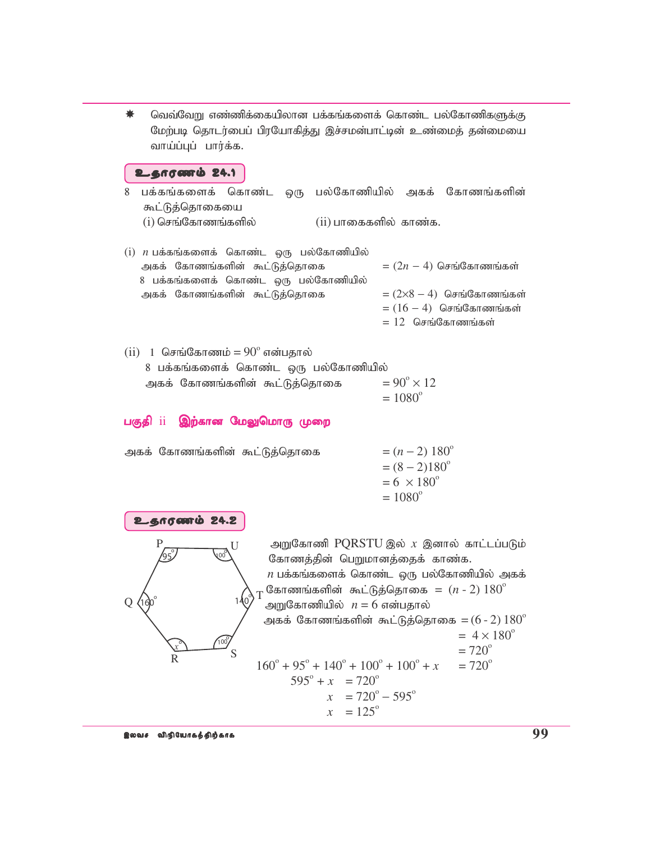வெவ்வேறு எண்ணிக்கையிலான பக்கங்களைக் கொண்ட பல்கோணிகளுக்கு மேற்படி தொடர்பைப் பிரயோகித்து இச்சமன்பாட்டின் உண்மைத் தன்மையை வாய்ப்புப் பார்க்க.

#### உதாரணம் 24.1

- 8 பக்கங்களைக் கொண்ட ஒரு பல்கோணியில் அகக் கோணங்களின் கூட்டுத்தொகையை  $(i)$  செங்கோணங்களில்  $(ii)$  பாகைகளில் காண்க.
- $(i)$  *n* பக்கங்களைக் கொண்ட ஒரு பல்கோணியில் அகக் கோணங்களின் கூட்டுத்தொகை  $=(2n-4)$  செங்கோணங்கள் 8 பக்கங்களைக் கொண்ட ஒரு பல்கோணியில் அகக் கோணங்களின் கூட்டுத்தொகை  $= (2\times8 - 4)$  செங்கோணங்கள்  $= (16 - 4)$  செங்கோணங்கள்  $= 12$  செங்கோணங்கள்
- $(ii)$  1 செங்கோணம் =  $90^{\circ}$  என்பதால் 8 பக்கங்களைக் கொண்ட ஒரு பல்கோணியில் அகக் கோணங்களின் கூட்டுத்தொகை  $= 90^{\circ} \times 12$  $= 1080^{\circ}$

## பகுதி ii இற்கான மேலுமொரு முறை

| அகக் கோணங்களின் கூட்டுத்தொகை |  | $=(n-2) 180^{\circ}$     |
|------------------------------|--|--------------------------|
|                              |  | $=(8-2)180^{\circ}$      |
|                              |  | $= 6 \times 180^{\circ}$ |
|                              |  | $= 1080^{\circ}$         |
|                              |  |                          |



அறுகோணி PQRSTU இல்  $x$  இனால் காட்டப்படும் கோணத்தின் பெறுமானத்தைக் காண்க.  $n$  பக்கங்களைக் கொண்ட ஒரு பல்கோணியில் அகக் கோணங்களின் கூட்டுத்தொகை =  $(n - 2) 180^\circ$ அறுகோணியில்  $n = 6$  என்பதால் அகக் கோணங்களின் கூட்டுத்தொகை  $=$  ( $6$  -  $2)$   $180^\circ$  $= 4 \times 180^{\circ}$  $= 720^{\circ}$  $160^{\circ} + 95^{\circ} + 140^{\circ} + 100^{\circ} + 100^{\circ}$  $= 720^{\circ}$  $595^\circ + x = 720^\circ$  $x = 720^\circ - 595^\circ$  $x = 125^{\circ}$ 

இலவச விநியோகத்திற்காக **முறைமையான விரும்பமன் விரும்பமன் த**ை அறிவு ப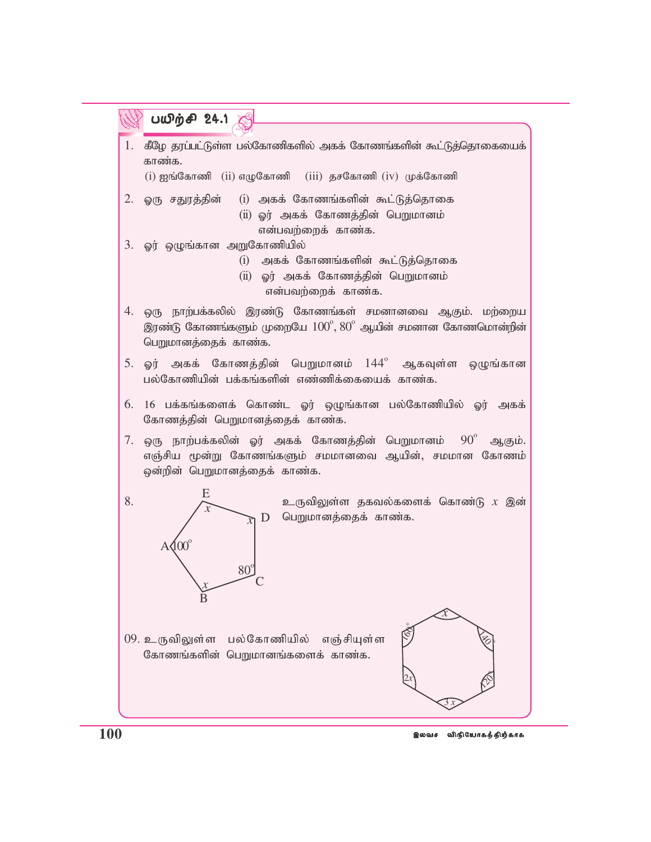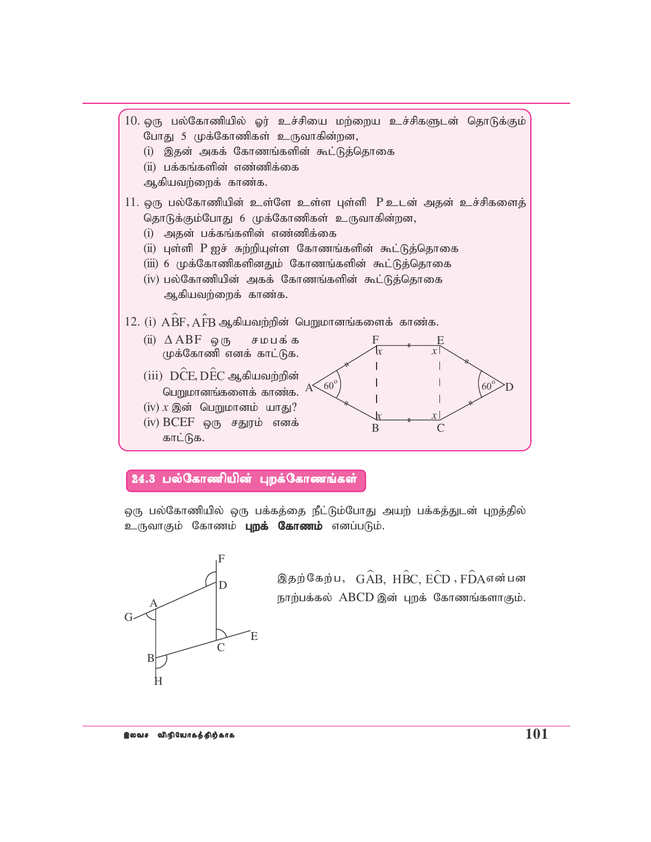

### 24.3 பல்கோணியின் புறக்கோணங்கள்

ஒரு பல்கோணியில் ஒரு பக்கத்தை நீட்டும்போது அயற் பக்கத்துடன் புறத்தில் உருவாகும் கோணம் **புறக் கோணம்** எனப்படும்.



இதற்கேற்ப,  $G\widehat{A}B$ ,  $H\widehat{B}C$ ,  $E\widehat{C}D$  ,  $F\widehat{D}A$ என்பன நாற்பக்கல் ABCD இன் புறக் கோணங்களாகும்.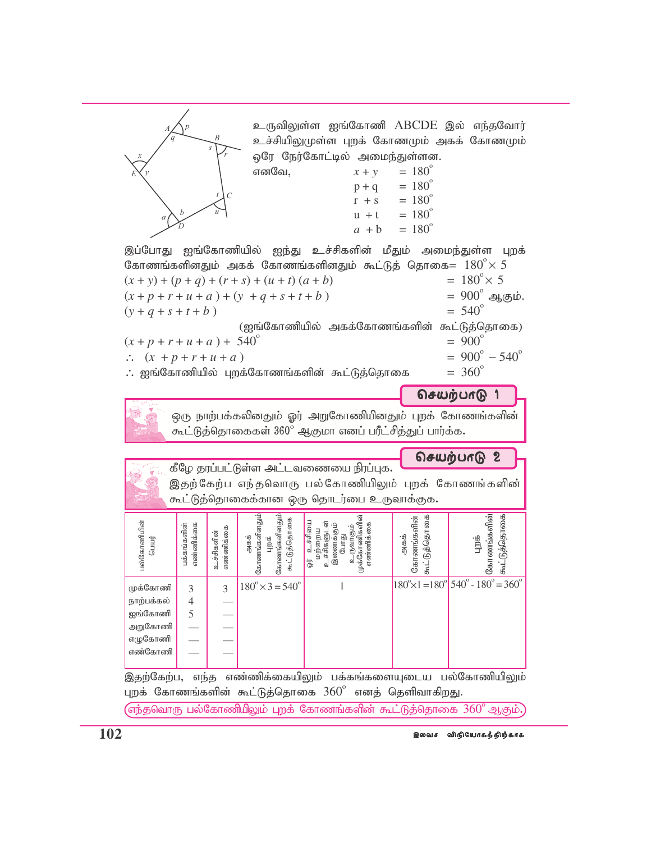|                      |                                                                                                                                                                                                                                 | S<br>C                  | எனவே,                                                           | உருவிலுள்ள ஐங்கோணி ABCDE இல் எந்தவோர்<br>உச்சியிலுமுள்ள புறக் கோணமும் அகக் கோணமும்<br>ஒரே நேர்கோட்டில் அமைந்துள்ளன.<br>$x + y$<br>$p + q$<br>$r + s$ | $= 180^{\circ}$<br>$= 180^{\circ}$<br>$= 180^{\circ}$<br>$u + t = 180^{\circ}$<br>$a + b = 180^{\circ}$ |                                                                              |
|----------------------|---------------------------------------------------------------------------------------------------------------------------------------------------------------------------------------------------------------------------------|-------------------------|-----------------------------------------------------------------|------------------------------------------------------------------------------------------------------------------------------------------------------|---------------------------------------------------------------------------------------------------------|------------------------------------------------------------------------------|
|                      |                                                                                                                                                                                                                                 |                         |                                                                 | இப்போது ஐங்கோணியில் ஐந்து உச்சிகளின் மீதும் அமைந்துள்ள                                                                                               |                                                                                                         | புறக்                                                                        |
|                      |                                                                                                                                                                                                                                 |                         |                                                                 | கோணங்களினதும் அகக் கோணங்களினதும் கூட்டுத் தொகை $=~180^{\circ}\times$ $5$                                                                             |                                                                                                         |                                                                              |
|                      |                                                                                                                                                                                                                                 |                         | $(x + y) + (p + q) + (r + s) + (u + t) (a + b)$                 |                                                                                                                                                      |                                                                                                         | $= 180^{\circ} \times 5$                                                     |
|                      |                                                                                                                                                                                                                                 |                         | $(x+p+r+u+a)+(y+q+s+t+b)$                                       |                                                                                                                                                      |                                                                                                         | = $900^{\circ}$ ஆகும்.                                                       |
| $(y+q+s+t+b)$        |                                                                                                                                                                                                                                 |                         |                                                                 |                                                                                                                                                      |                                                                                                         | $= 540^{\circ}$                                                              |
|                      | (ஐங்கோணியில் அகக்கோணங்களின் கூட்டுத்தொகை)<br>$= 900^{\circ}$<br>$(x+p+r+u+a)+540^{\circ}$<br>$= 900^{\circ} - 540^{\circ}$<br>$\therefore (x + p + r + u + a)$<br>$= 360^{\circ}$<br>: ஐங்கோணியில் புறக்கோணங்களின் கூட்டுத்தொகை |                         |                                                                 |                                                                                                                                                      |                                                                                                         |                                                                              |
|                      |                                                                                                                                                                                                                                 |                         |                                                                 |                                                                                                                                                      |                                                                                                         |                                                                              |
|                      | செயற்பாடு 1<br>ஒரு நாற்பக்கலினதும் ஓர் அறுகோணியினதும் புறக் கோணங்களின்<br>கூட்டுத்தொகைகள் 360° ஆகுமா எனப் பரீட்சித்துப் பார்க்க <b>.</b>                                                                                        |                         |                                                                 |                                                                                                                                                      |                                                                                                         |                                                                              |
|                      |                                                                                                                                                                                                                                 |                         |                                                                 |                                                                                                                                                      |                                                                                                         | செயற்பாடு<br>$\boldsymbol{2}$                                                |
|                      |                                                                                                                                                                                                                                 |                         |                                                                 | கீழே தரப்பட்டுள்ள அட்டவணையை நிரப்புக.<br>இதற்கேற்ப எந்தவொரு பல்கோணியிலும் புறக் கோணங்களின்<br>கூட்டுத்தொகைக்கான ஒரு தொடர்பை உருவாக்குக.              |                                                                                                         |                                                                              |
| பல்கோணியின்<br>பெயர் | எண்ணிக்கை<br>பக்கங்களின்                                                                                                                                                                                                        | எண்ணிக்கை<br>உச்சிகளின் | கோணங்களினதும்<br>கோணங்களினதும்<br>கூட்டுத்தொகை<br>அகக்<br>க் ஏh | இணைக்கும்<br>போது<br>உருவாகும்<br>முக்கோணிகளின்<br>உச்சியை<br>்மற்றைய<br>டச்சிகளுடன்<br>எண்ணிக்கை<br>İ.<br>d                                         | கூட்டுத்தொகை<br>கோணங்களின்<br>அகக்                                                                      | ்டுத்தொகை<br>கோணங்களின்<br>புறக்                                             |
|                      |                                                                                                                                                                                                                                 |                         | $180^{\circ} \times 3 = 540^{\circ}$                            |                                                                                                                                                      |                                                                                                         | $180^{\circ} \times 1 = 180^{\circ} 540^{\circ} - 180^{\circ} = 360^{\circ}$ |
| முக்கோணி             | 3                                                                                                                                                                                                                               | 3                       |                                                                 |                                                                                                                                                      |                                                                                                         |                                                                              |
| நாற்பக்கல்           | 4                                                                                                                                                                                                                               |                         |                                                                 |                                                                                                                                                      |                                                                                                         |                                                                              |
| ஐங்கோணி              | 5                                                                                                                                                                                                                               |                         |                                                                 |                                                                                                                                                      |                                                                                                         |                                                                              |
| அறுகோணி              |                                                                                                                                                                                                                                 |                         |                                                                 |                                                                                                                                                      |                                                                                                         |                                                                              |
| எழுகோணி              |                                                                                                                                                                                                                                 |                         |                                                                 |                                                                                                                                                      |                                                                                                         |                                                                              |
| எண்கோணி              |                                                                                                                                                                                                                                 |                         |                                                                 |                                                                                                                                                      |                                                                                                         |                                                                              |
| இதற்கேற்ப,           | எந்த                                                                                                                                                                                                                            |                         | புறக் கோணங்களின் கூட்டுத்தொகை $360^\circ$                       | எண்ணிக்கையிலும் பக்கங்களையுடைய                                                                                                                       |                                                                                                         | பல்கோணியிலும்                                                                |

 $\left($ எந்தவொரு பல்கோணிபிலும் புறக் கோணங்களின் கூட்டுத்தொகை  $360^\circ$  ஆகும்.)

இலவச விநியோகத்திற்காக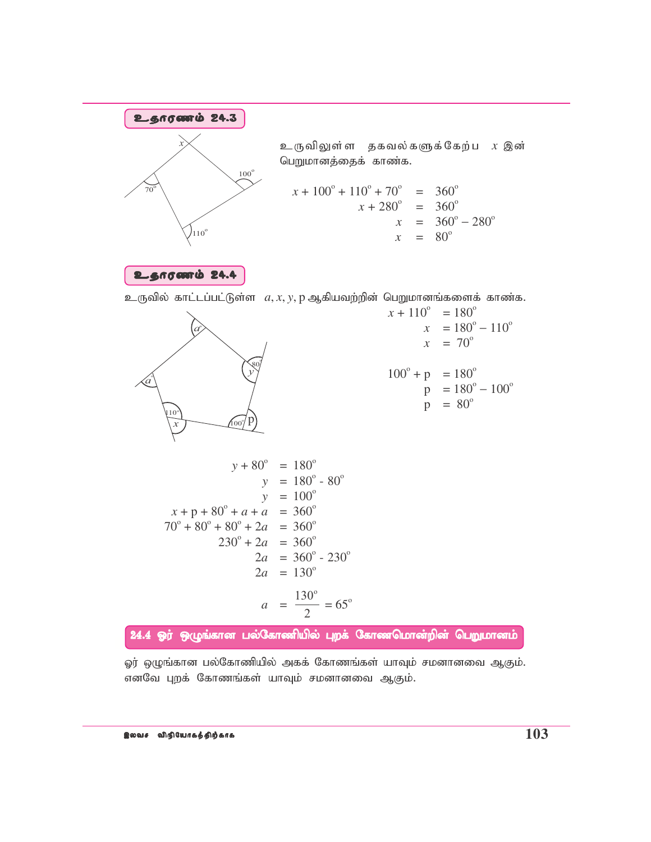

ஓர் ஒழுங்கான பல்கோணியில் அகக் கோணங்கள் யாவும் சமனானவை ஆகும். எனவே புறக் கோணங்கள் யாவும் சமனானவை ஆகும்.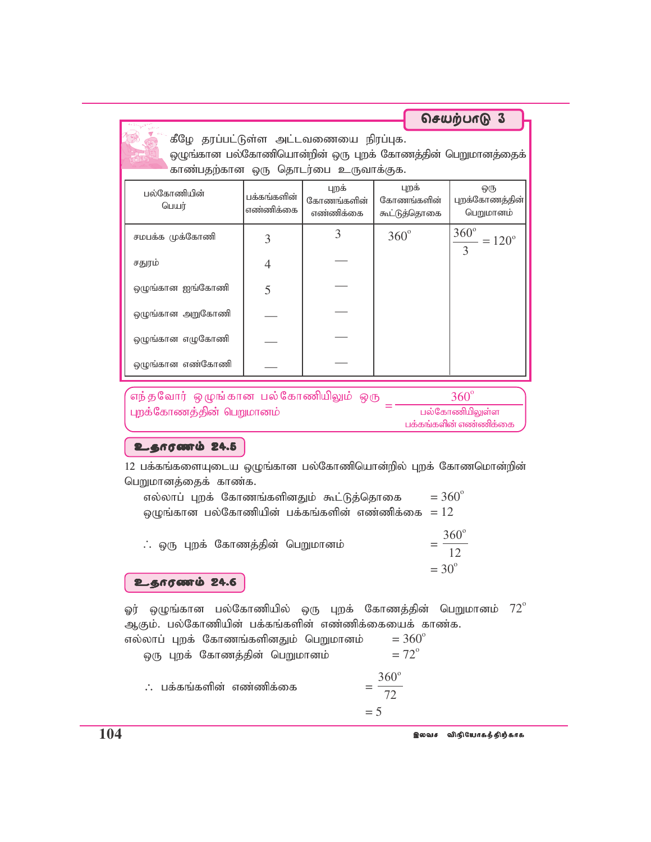கீழே தரப்பட்டுள்ள அட்டவணையை நிரப்புக. ஒழுங்கான பல்கோணியொன்றின் ஒரு புறக் கோணத்தின் பெறுமானத்தைக் காண்பதற்கான ஒரு தொடர்பை உருவாக்குக.

செயற்பாடு 3

| பல்கோணியின்<br>பெயர் | பக்கங்களின்<br>எண்ணிக்கை | புறக்<br>கோணங்களின்<br>எண்ணிக்கை | புறக்<br>கோணங்களின்<br>கூட்டுத்தொகை | ஒரு<br>புறக்கோணத்தின்<br>பெறுமானம்                       |
|----------------------|--------------------------|----------------------------------|-------------------------------------|----------------------------------------------------------|
| சமபக்க முக்கோணி      | 3                        | 3                                | $360^\circ$                         | $\frac{360^{\circ}}{200^{\circ}}$<br>$=120^{\circ}$<br>3 |
| சதுரம்               | 4                        |                                  |                                     |                                                          |
| ஒழுங்கான ஐங்கோணி     | 5                        |                                  |                                     |                                                          |
| ஒழுங்கான அறுகோணி     |                          |                                  |                                     |                                                          |
| ஒழுங்கான எழுகோணி     |                          |                                  |                                     |                                                          |
| ஒழுங்கான எண்கோணி     |                          |                                  |                                     |                                                          |

,<br>எந்தவோர் ஒழுங்கான பல்கோணியிலும் ஒரு  $360^\circ$ புறக்கோணத்தின் பெறுமானம் பல்கோணியிலுள்ள பக்கங்களின் எண்ணிக்கை

# உதாரணம் 24.5

12 பக்கங்களையுடைய ஒழுங்கான பல்கோணியொன்றில் புறக் கோணமொன்றின் பெறுமானத்தைக் காண்க.

| எல்லாப் புறக் கோணங்களினதும் கூட்டுத்தொகை         | $= 360^{\circ}$                    |
|--------------------------------------------------|------------------------------------|
| ஒழுங்கான பல்கோணியின் பக்கங்களின் எண்ணிக்கை $=12$ |                                    |
| ். ஒரு புறக் கோணத்தின் பெறுமானம்                 | $360^\circ$<br>12<br>$=30^{\circ}$ |
|                                                  |                                    |

உதாரணம் 24.6

ஓர் ஒழுங்கான பல்கோணியில் ஒரு புறக் கோணத்தின் பெறுமானம்  $72^\circ$ ஆகும். பல்கோணியின் பக்கங்களின் எண்ணிக்கையைக் காண்க.

| எல்லாப் புறக் கோணங்களினதும் பெறுமானம் | $= 360^{\circ}$   |
|---------------------------------------|-------------------|
| ஒரு புறக் கோணத்தின் பெறுமானம்         | $= 72^{\circ}$    |
| $\therefore$ பக்கங்களின் எண்ணிக்கை    | $360^\circ$<br>72 |
|                                       | $=$ 5             |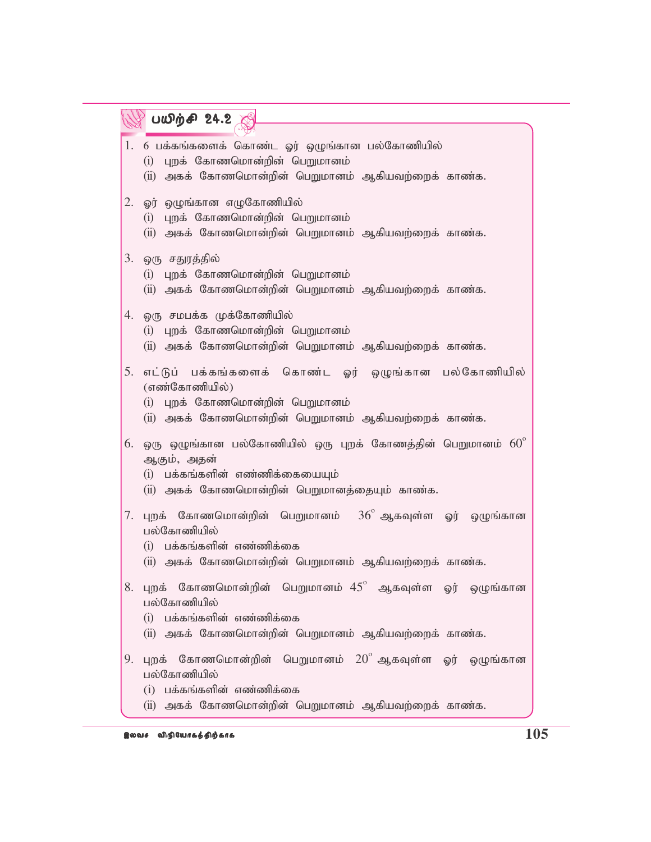|    | பயிற்சி 24.2                                                                                                                                                             |
|----|--------------------------------------------------------------------------------------------------------------------------------------------------------------------------|
|    | 1. 6 பக்கங்களைக் கொண்ட ஓர் ஒழுங்கான பல்கோணியில்<br>(i) புறக் கோணமொன்றின் பெறுமானம்<br>(ii) அகக் கோணமொன்றின் பெறுமானம் ஆகியவற்றைக் காண்க.                                 |
| 2. | ஓர் ஒழுங்கான எழுகோணியில்<br>(i) புறக் கோணமொன்றின் பெறுமானம்<br>(ii) அகக் கோணமொன்றின் பெறுமானம் ஆகியவற்றைக் காண்க.                                                        |
| 3. | ஒரு சதுரத்தில்<br>(i) புறக் கோணமொன்றின் பெறுமானம்<br>(ii) அகக் கோணமொன்றின் பெறுமானம் ஆகியவற்றைக் காண்க.                                                                  |
|    | 4. ஒரு சமபக்க முக்கோணியில்<br>(i) புறக் கோணமொன்றின் பெறுமானம்<br>(ii) அகக் கோணமொன்றின் பெறுமானம் ஆகியவற்றைக் காண்க.                                                      |
| 5. | எட்டுப் பக்கங்களைக் கொண்ட ஓர் ஒழுங்கான பல்கோணியில்<br>(எண்கோணியில்)<br>(i) புறக் கோணமொன்றின் பெறுமானம்<br>(ii) அகக் கோணமொன்றின் பெறுமானம் ஆகியவற்றைக் காண்க.             |
|    | $6.$ ஒரு ஒழுங்கான பல்கோணியில் ஒரு புறக் கோணத்தின் பெறுமானம் $60^\circ$<br>ஆகும், அதன்<br>(i) பக்கங்களின் எண்ணிக்கையையும்<br>(ii) அகக் கோணமொன்றின் பெறுமானத்தையும் காண்க. |
| 7. | புறக் கோணமொன்றின் பெறுமானம் $36^{\circ}$ ஆகவுள்ள ஓர் ஒழுங்கான<br>பல்கோணியில்<br>(i) பக்கங்களின் எண்ணிக்கை<br>(ii) அகக் கோணமொன்றின் பெறுமானம் ஆகியவற்றைக் காண்க.          |
| 8. | புறக் கோணமொன்றின் பெறுமானம் $45^{\circ}$ ஆகவுள்ள ஓர் ஒழுங்கான<br>பல்கோணியில்<br>(i) பக்கங்களின் எண்ணிக்கை<br>(ii) அகக் கோணமொன்றின் பெறுமானம் ஆகியவற்றைக் காண்க.          |
| 9. | கோணமொன்றின் பெறுமானம் $20^{\circ}$ ஆகவுள்ள ஓர் ஒழுங்கான<br>புறக்<br>பல்கோணியில்<br>$(i)$ பக்கங்களின் எண்ணிக்கை                                                           |
|    | (ii) அகக் கோணமொன்றின் பெறுமானம் ஆகியவற்றைக் காண்க.                                                                                                                       |